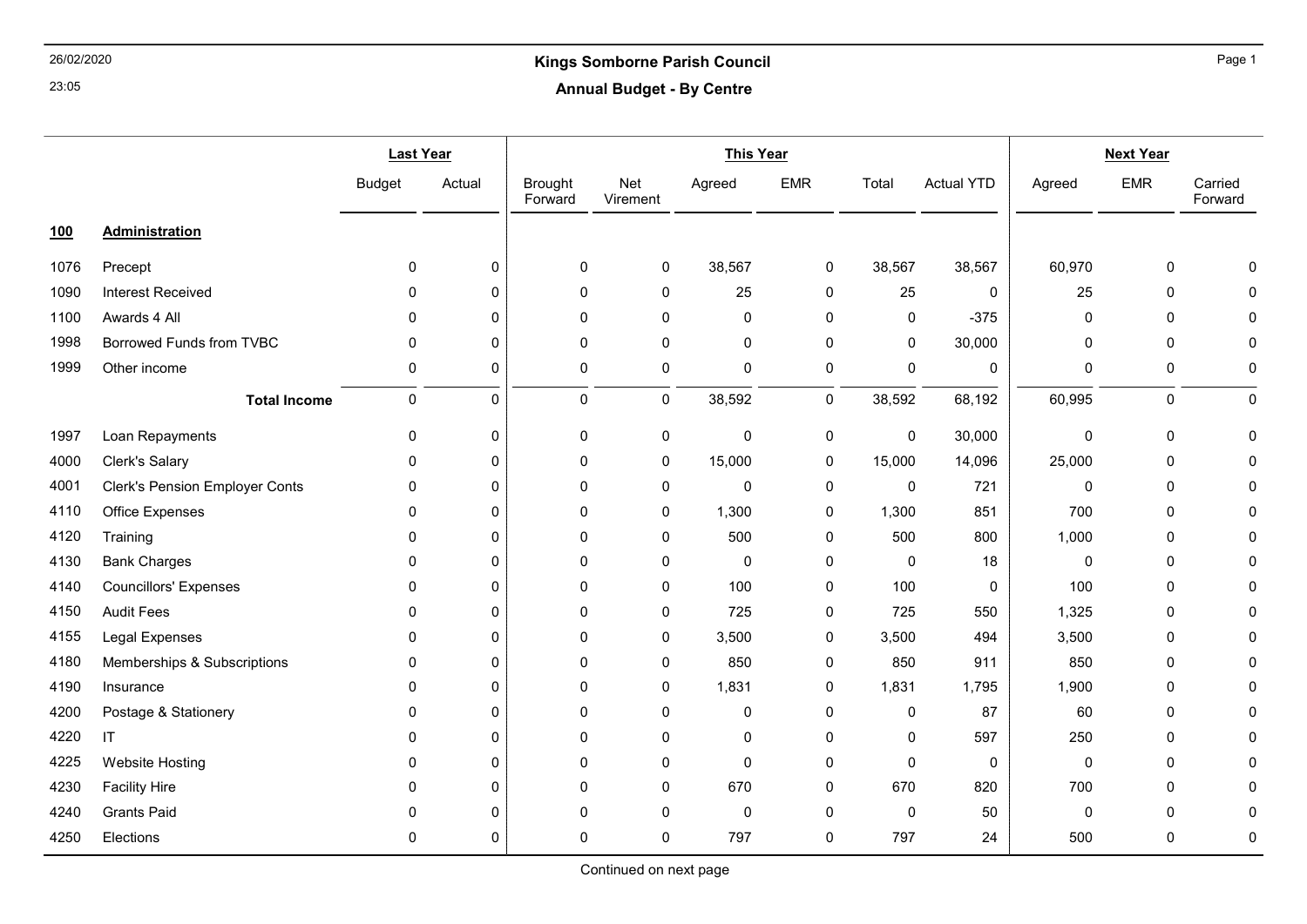### 26/02/2020 Kings Somborne Parish Council Annual Budget - By Centre

|            |                                       | <b>Last Year</b> |              | <b>This Year</b>          |                 |             |             |             | <b>Next Year</b>  |        |             |                    |
|------------|---------------------------------------|------------------|--------------|---------------------------|-----------------|-------------|-------------|-------------|-------------------|--------|-------------|--------------------|
|            |                                       | <b>Budget</b>    | Actual       | <b>Brought</b><br>Forward | Net<br>Virement | Agreed      | <b>EMR</b>  | Total       | <b>Actual YTD</b> | Agreed | <b>EMR</b>  | Carried<br>Forward |
| <u>100</u> | <b>Administration</b>                 |                  |              |                           |                 |             |             |             |                   |        |             |                    |
| 1076       | Precept                               | $\mathbf 0$      | 0            | 0                         | 0               | 38,567      | 0           | 38,567      | 38,567            | 60,970 | $\pmb{0}$   | $\Omega$           |
| 1090       | <b>Interest Received</b>              | $\mathbf{0}$     | $\mathbf 0$  | 0                         | 0               | 25          | 0           | 25          | 0                 | 25     | $\pmb{0}$   | $\Omega$           |
| 1100       | Awards 4 All                          | $\mathbf{0}$     | 0            | 0                         | 0               | $\mathbf 0$ | 0           | 0           | $-375$            | 0      | 0           | $\Omega$           |
| 1998       | Borrowed Funds from TVBC              | $\mathbf 0$      | $\mathbf 0$  | 0                         | 0               | 0           | 0           | 0           | 30,000            | 0      | $\pmb{0}$   | $\mathbf 0$        |
| 1999       | Other income                          | 0                | 0            | 0                         | 0               | $\pmb{0}$   | $\pmb{0}$   | $\pmb{0}$   | $\pmb{0}$         | 0      | $\pmb{0}$   | 0                  |
|            | <b>Total Income</b>                   | $\mathbf 0$      | $\pmb{0}$    | 0                         | 0               | 38,592      | 0           | 38,592      | 68,192            | 60,995 | 0           | 0                  |
| 1997       | Loan Repayments                       | 0                | 0            | 0                         | 0               | $\pmb{0}$   | $\pmb{0}$   | $\pmb{0}$   | 30,000            | 0      | $\pmb{0}$   | $\Omega$           |
| 4000       | Clerk's Salary                        | $\mathbf 0$      | 0            | 0                         | 0               | 15,000      | 0           | 15,000      | 14,096            | 25,000 | $\pmb{0}$   | $\Omega$           |
| 4001       | <b>Clerk's Pension Employer Conts</b> | 0                | $\Omega$     | 0                         | 0               | 0           | 0           | 0           | 721               | 0      | 0           | $\Omega$           |
| 4110       | Office Expenses                       | $\Omega$         | $\Omega$     | 0                         | 0               | 1,300       | 0           | 1,300       | 851               | 700    | 0           | O                  |
| 4120       | Training                              | $\mathbf{0}$     | $\mathbf{0}$ | 0                         | 0               | 500         | 0           | 500         | 800               | 1,000  | $\mathbf 0$ | $\Omega$           |
| 4130       | <b>Bank Charges</b>                   | 0                | $\mathbf{0}$ | 0                         | 0               | 0           | 0           | $\pmb{0}$   | 18                | 0      | $\pmb{0}$   | O                  |
| 4140       | <b>Councillors' Expenses</b>          | $\mathbf{0}$     | $\Omega$     | 0                         | 0               | 100         | $\mathbf 0$ | 100         | $\mathbf 0$       | 100    | 0           | $\Omega$           |
| 4150       | <b>Audit Fees</b>                     | 0                | $\mathbf 0$  | 0                         | 0               | 725         | 0           | 725         | 550               | 1,325  | $\pmb{0}$   | $\Omega$           |
| 4155       | Legal Expenses                        | $\mathbf{0}$     | $\Omega$     | 0                         | 0               | 3,500       | 0           | 3,500       | 494               | 3,500  | $\mathbf 0$ | $\Omega$           |
| 4180       | Memberships & Subscriptions           | $\mathbf{0}$     | $\mathbf{0}$ | 0                         | 0               | 850         | 0           | 850         | 911               | 850    | $\mathbf 0$ | $\Omega$           |
| 4190       | Insurance                             | 0                | 0            | 0                         | 0               | 1,831       | 0           | 1,831       | 1,795             | 1,900  | 0           | O                  |
| 4200       | Postage & Stationery                  | $\mathbf{0}$     | 0            | 0                         | 0               | $\mathbf 0$ | 0           | $\pmb{0}$   | 87                | 60     | $\mathbf 0$ | $\Omega$           |
| 4220       | IT                                    | $\Omega$         | $\Omega$     | 0                         | 0               | $\mathbf 0$ | 0           | $\mathbf 0$ | 597               | 250    | 0           | ŋ                  |
| 4225       | <b>Website Hosting</b>                | $\mathbf{0}$     | 0            | 0                         | 0               | $\mathbf 0$ | 0           | $\mathbf 0$ | $\mathbf 0$       | 0      | $\pmb{0}$   | $\Omega$           |
| 4230       | <b>Facility Hire</b>                  | $\mathbf{0}$     | $\mathbf{0}$ | 0                         | 0               | 670         | 0           | 670         | 820               | 700    | $\mathbf 0$ | 0                  |
| 4240       | <b>Grants Paid</b>                    | $\mathbf{0}$     | $\mathbf 0$  | 0                         | 0               | $\mathbf 0$ | 0           | $\mathbf 0$ | 50                | 0      | 0           | 0                  |
| 4250       | Elections                             | 0                | 0            | 0                         | 0               | 797         | 0           | 797         | 24                | 500    | $\pmb{0}$   | 0                  |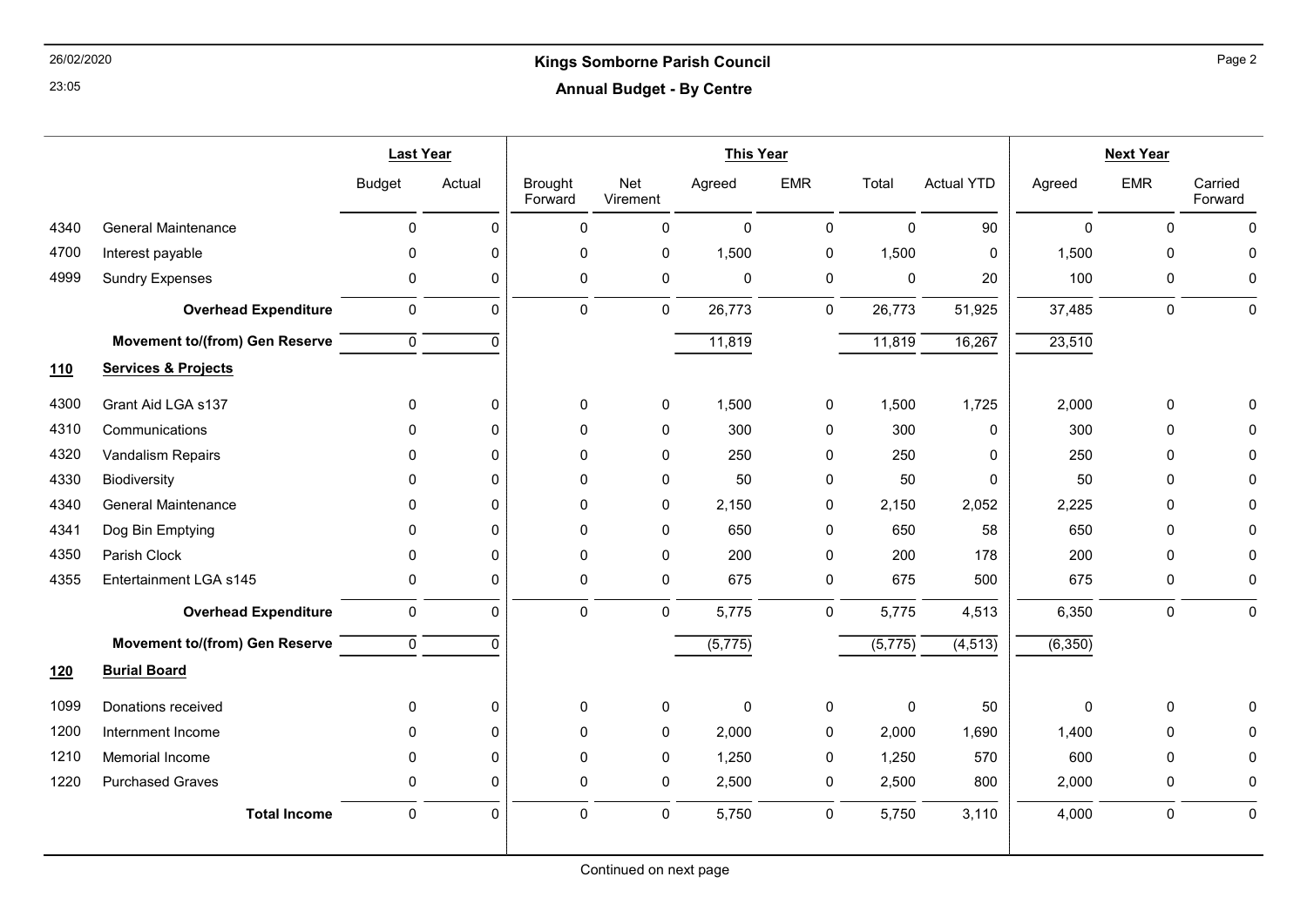## 26/02/2020 Kings Somborne Parish Council Annual Budget - By Centre

|            |                                       | <b>Last Year</b> |              |                           | <b>This Year</b> |                      |              |                      |                   | <b>Next Year</b> |             |                    |  |
|------------|---------------------------------------|------------------|--------------|---------------------------|------------------|----------------------|--------------|----------------------|-------------------|------------------|-------------|--------------------|--|
|            |                                       | <b>Budget</b>    | Actual       | <b>Brought</b><br>Forward | Net<br>Virement  | Agreed               | <b>EMR</b>   | Total                | <b>Actual YTD</b> | Agreed           | <b>EMR</b>  | Carried<br>Forward |  |
| 4340       | <b>General Maintenance</b>            | $\mathbf 0$      | $\Omega$     | $\pmb{0}$                 | $\pmb{0}$        | $\mathbf 0$          | $\mathbf 0$  | $\mathbf 0$          | 90                | $\mathbf 0$      | $\mathbf 0$ | $\Omega$           |  |
| 4700       | Interest payable                      | $\mathbf{0}$     | $\Omega$     | $\mathbf 0$               | $\pmb{0}$        | 1,500                | $\pmb{0}$    | 1,500                | 0                 | 1,500            | $\mathbf 0$ | $\Omega$           |  |
| 4999       | <b>Sundry Expenses</b>                | $\mathbf 0$      | $\mathbf{0}$ | 0                         | $\pmb{0}$        | $\mathsf 0$          | 0            | 0                    | 20                | 100              | 0           | 0                  |  |
|            | <b>Overhead Expenditure</b>           | $\mathbf 0$      | $\mathbf{0}$ | $\mathbf 0$               | 0                | 26,773               | 0            | 26,773               | 51,925            | 37,485           | $\mathbf 0$ | $\pmb{0}$          |  |
|            | <b>Movement to/(from) Gen Reserve</b> | $\mathbf 0$      | $\Omega$     |                           |                  | 11,819               |              | 11,819               | 16,267            | 23,510           |             |                    |  |
| <b>110</b> | <b>Services &amp; Projects</b>        |                  |              |                           |                  |                      |              |                      |                   |                  |             |                    |  |
| 4300       | Grant Aid LGA s137                    | $\mathbf 0$      | $\Omega$     | 0                         | 0                | 1,500                | $\mathbf 0$  | 1,500                | 1,725             | 2,000            | $\pmb{0}$   |                    |  |
| 4310       | Communications                        | $\Omega$         | $\Omega$     | $\mathbf 0$               | $\mathbf 0$      | 300                  | $\mathbf 0$  | 300                  | 0                 | 300              | 0           | $\Omega$           |  |
| 4320       | Vandalism Repairs                     | $\Omega$         | $\Omega$     | $\Omega$                  | $\mathbf{0}$     | 250                  | $\mathbf{0}$ | 250                  | 0                 | 250              | $\Omega$    | $\Omega$           |  |
| 4330       | Biodiversity                          | $\Omega$         | $\Omega$     | $\mathbf 0$               | 0                | 50                   | $\mathbf 0$  | 50                   | 0                 | 50               | $\mathbf 0$ | $\Omega$           |  |
| 4340       | <b>General Maintenance</b>            | $\Omega$         | $\Omega$     | $\mathbf 0$               | 0                | 2,150                | 0            | 2,150                | 2,052             | 2,225            | $\mathbf 0$ | ∩                  |  |
| 4341       | Dog Bin Emptying                      | $\mathbf{0}$     | $\Omega$     | $\mathbf 0$               | 0                | 650                  | $\mathbf 0$  | 650                  | 58                | 650              | $\Omega$    | $\Omega$           |  |
| 4350       | Parish Clock                          | $\Omega$         | $\Omega$     | $\mathbf 0$               | 0                | 200                  | $\mathbf 0$  | 200                  | 178               | 200              | $\Omega$    | $\Omega$           |  |
| 4355       | Entertainment LGA s145                | $\mathbf 0$      | $\Omega$     | $\mathbf 0$               | $\pmb{0}$        | 675                  | 0            | 675                  | 500               | 675              | $\mathbf 0$ | $\mathbf 0$        |  |
|            | <b>Overhead Expenditure</b>           | $\pmb{0}$        | $\mathbf{0}$ | $\pmb{0}$                 | $\mathbf 0$      | 5,775                | $\mathsf 0$  | 5,775                | 4,513             | 6,350            | $\mathsf 0$ | $\mathbf 0$        |  |
|            | <b>Movement to/(from) Gen Reserve</b> | $\mathbf{0}$     | $\Omega$     |                           |                  | $\overline{(5,775)}$ |              | $\overline{(5,775)}$ | (4, 513)          | (6,350)          |             |                    |  |
| <u>120</u> | <b>Burial Board</b>                   |                  |              |                           |                  |                      |              |                      |                   |                  |             |                    |  |
| 1099       | Donations received                    | $\mathbf{0}$     | $\Omega$     | $\mathbf 0$               | 0                | $\mathbf 0$          | 0            | 0                    | 50                | $\Omega$         | $\mathbf 0$ | ∩                  |  |
| 1200       | Internment Income                     | $\mathbf 0$      | $\Omega$     | 0                         | 0                | 2,000                | 0            | 2,000                | 1,690             | 1,400            | 0           | $\Omega$           |  |
| 1210       | Memorial Income                       | $\Omega$         | $\Omega$     | $\mathbf 0$               | 0                | 1,250                | 0            | 1,250                | 570               | 600              | $\Omega$    | 0                  |  |
| 1220       | <b>Purchased Graves</b>               | $\mathbf{0}$     | $\Omega$     | $\mathbf 0$               | 0                | 2,500                | 0            | 2,500                | 800               | 2,000            | $\mathbf 0$ | $\Omega$           |  |
|            | <b>Total Income</b>                   | $\mathbf 0$      | $\mathbf{0}$ | $\mathbf 0$               | $\mathbf 0$      | 5,750                | $\mathbf 0$  | 5,750                | 3,110             | 4,000            | $\mathbf 0$ | $\mathbf 0$        |  |
|            |                                       |                  |              |                           |                  |                      |              |                      |                   |                  |             |                    |  |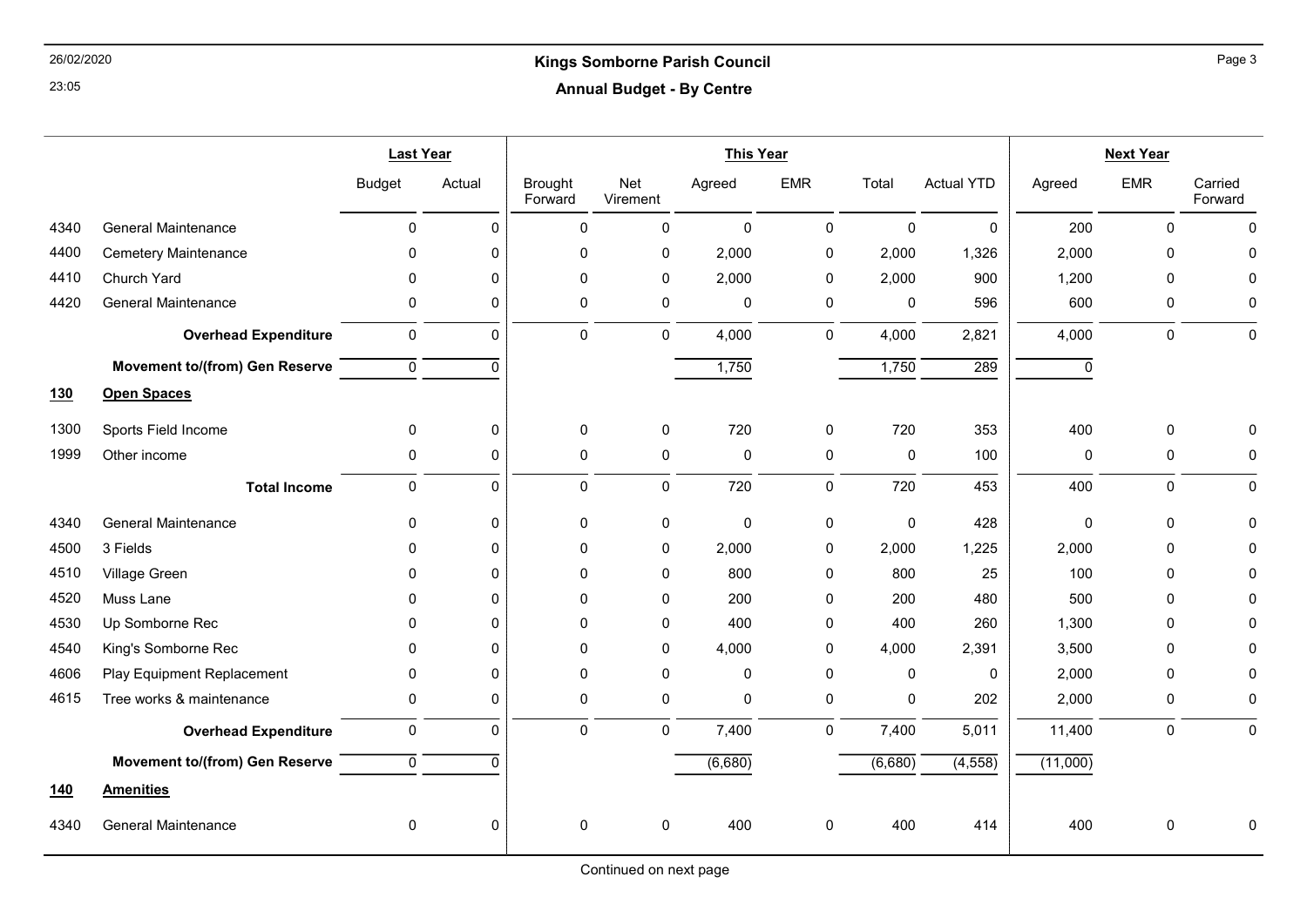#### 26/02/2020 Kings Somborne Parish Council Annual Budget - By Centre

|            |                                       | <b>Last Year</b> |                  | <b>This Year</b>          |                 |             |             |              |                   | <b>Next Year</b> |             |                    |  |
|------------|---------------------------------------|------------------|------------------|---------------------------|-----------------|-------------|-------------|--------------|-------------------|------------------|-------------|--------------------|--|
|            |                                       | <b>Budget</b>    | Actual           | <b>Brought</b><br>Forward | Net<br>Virement | Agreed      | <b>EMR</b>  | Total        | <b>Actual YTD</b> | Agreed           | <b>EMR</b>  | Carried<br>Forward |  |
| 4340       | <b>General Maintenance</b>            | $\mathbf 0$      | $\mathbf{0}$     | 0                         | $\mathbf 0$     | $\mathbf 0$ | $\mathbf 0$ | $\mathbf{0}$ | $\mathbf 0$       | 200              | $\mathbf 0$ | $\Omega$           |  |
| 4400       | <b>Cemetery Maintenance</b>           | $\Omega$         | $\Omega$         | $\mathbf 0$               | 0               | 2,000       | 0           | 2,000        | 1,326             | 2,000            | $\Omega$    |                    |  |
| 4410       | Church Yard                           | $\Omega$         | $\Omega$         | $\mathbf 0$               | $\mathbf 0$     | 2,000       | 0           | 2,000        | 900               | 1,200            | 0           |                    |  |
| 4420       | <b>General Maintenance</b>            | 0                | $\Omega$         | $\mathbf 0$               | 0               | $\mathbf 0$ | 0           | $\mathbf 0$  | 596               | 600              | 0           |                    |  |
|            | <b>Overhead Expenditure</b>           | 0                | $\mathbf 0$      | 0                         | 0               | 4,000       | 0           | 4,000        | 2,821             | 4,000            | $\mathsf 0$ | $\pmb{0}$          |  |
|            | <b>Movement to/(from) Gen Reserve</b> | $\mathbf 0$      | $\Omega$         |                           |                 | 1,750       |             | 1,750        | 289               | 0                |             |                    |  |
| <u>130</u> | <b>Open Spaces</b>                    |                  |                  |                           |                 |             |             |              |                   |                  |             |                    |  |
| 1300       | Sports Field Income                   | $\Omega$         | $\Omega$         | 0                         | 0               | 720         | 0           | 720          | 353               | 400              | 0           |                    |  |
| 1999       | Other income                          | 0                | 0                | $\pmb{0}$                 | $\mathsf 0$     | $\pmb{0}$   | 0           | $\mathbf 0$  | 100               | 0                | $\pmb{0}$   | 0                  |  |
|            | <b>Total Income</b>                   | $\mathbf 0$      | $\Omega$         | $\mathbf 0$               | $\pmb{0}$       | 720         | $\mathbf 0$ | 720          | 453               | 400              | $\mathsf 0$ | $\mathbf 0$        |  |
| 4340       | <b>General Maintenance</b>            | $\mathbf{0}$     | $\Omega$         | $\mathbf 0$               | 0               | $\mathbf 0$ | 0           | $\mathbf 0$  | 428               | 0                | 0           |                    |  |
| 4500       | 3 Fields                              | 0                | $\Omega$         | $\mathbf 0$               | 0               | 2,000       | $\mathbf 0$ | 2,000        | 1,225             | 2,000            | $\Omega$    |                    |  |
| 4510       | Village Green                         | 0                | $\Omega$         | $\mathbf{0}$              | $\mathbf{0}$    | 800         | 0           | 800          | 25                | 100              | 0           |                    |  |
| 4520       | Muss Lane                             | 0                | $\Omega$         | $\mathbf 0$               | 0               | 200         | 0           | 200          | 480               | 500              | 0           |                    |  |
| 4530       | Up Somborne Rec                       | $\Omega$         | $\Omega$         | $\mathbf{0}$              | 0               | 400         | $\mathbf 0$ | 400          | 260               | 1,300            | $\Omega$    |                    |  |
| 4540       | King's Somborne Rec                   | 0                | $\Omega$         | $\mathbf{0}$              | 0               | 4,000       | 0           | 4,000        | 2,391             | 3,500            | $\Omega$    |                    |  |
| 4606       | Play Equipment Replacement            | $\mathbf 0$      | $\Omega$         | $\mathbf 0$               | 0               | $\mathbf 0$ | 0           | 0            | 0                 | 2,000            | 0           |                    |  |
| 4615       | Tree works & maintenance              | 0                | $\Omega$         | $\mathbf 0$               | 0               | $\mathbf 0$ | 0           | 0            | 202               | 2,000            | 0           | 0                  |  |
|            | <b>Overhead Expenditure</b>           | $\pmb{0}$        | $\mathbf 0$      | $\pmb{0}$                 | $\mathsf 0$     | 7,400       | $\mathbf 0$ | 7,400        | 5,011             | 11,400           | $\mathsf 0$ | 0                  |  |
|            | <b>Movement to/(from) Gen Reserve</b> | $\mathbf 0$      | $\Omega$         |                           |                 | (6,680)     |             | (6,680)      | (4, 558)          | (11,000)         |             |                    |  |
| <u>140</u> | <b>Amenities</b>                      |                  |                  |                           |                 |             |             |              |                   |                  |             |                    |  |
| 4340       | <b>General Maintenance</b>            | 0                | $\boldsymbol{0}$ | $\pmb{0}$                 | 0               | 400         | 0           | 400          | 414               | 400              | 0           |                    |  |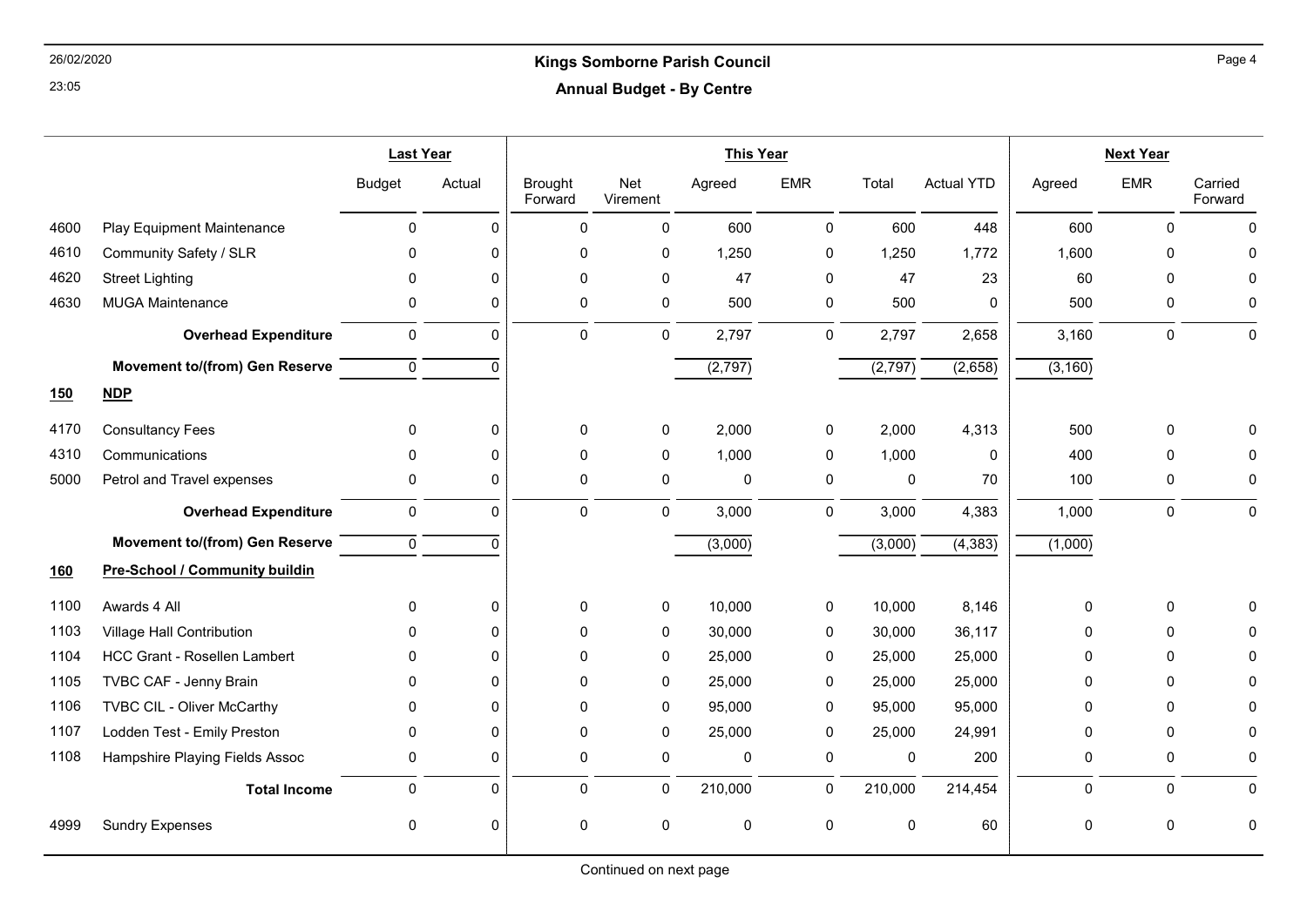#### 26/02/2020 Kings Somborne Parish Council Annual Budget - By Centre

|            |                                       | <b>Last Year</b>    |              | <b>This Year</b>          |                 |             |             | <b>Next Year</b> |                   |          |            |                    |
|------------|---------------------------------------|---------------------|--------------|---------------------------|-----------------|-------------|-------------|------------------|-------------------|----------|------------|--------------------|
|            |                                       | <b>Budget</b>       | Actual       | <b>Brought</b><br>Forward | Net<br>Virement | Agreed      | <b>EMR</b>  | Total            | <b>Actual YTD</b> | Agreed   | <b>EMR</b> | Carried<br>Forward |
| 4600       | Play Equipment Maintenance            | $\mathbf 0$         | $\mathbf{0}$ | $\Omega$                  | 0               | 600         | $\mathbf 0$ | 600              | 448               | 600      | $\Omega$   | 0                  |
| 4610       | Community Safety / SLR                | $\mathbf{0}$        | 0            | 0                         | 0               | 1,250       | 0           | 1,250            | 1,772             | 1,600    | 0          | $\Omega$           |
| 4620       | <b>Street Lighting</b>                | 0                   | $\mathbf{0}$ | $\Omega$                  | 0               | 47          | $\mathbf 0$ | 47               | 23                | 60       | $\Omega$   | O                  |
| 4630       | <b>MUGA Maintenance</b>               | 0                   | $\mathbf{0}$ | $\Omega$                  | 0               | 500         | 0           | 500              | 0                 | 500      | 0          | 0                  |
|            | <b>Overhead Expenditure</b>           | 0                   | $\mathbf 0$  | 0                         | 0               | 2,797       | 0           | 2,797            | 2,658             | 3,160    | 0          | 0                  |
|            | <b>Movement to/(from) Gen Reserve</b> | $\mathbf 0$         | $\Omega$     |                           |                 | (2,797)     |             | (2,797)          | (2,658)           | (3, 160) |            |                    |
| <u>150</u> | NDP                                   |                     |              |                           |                 |             |             |                  |                   |          |            |                    |
| 4170       | <b>Consultancy Fees</b>               | $\mathbf{0}$        | $\mathbf{0}$ | 0                         | 0               | 2,000       | 0           | 2,000            | 4,313             | 500      | 0          |                    |
| 4310       | Communications                        | 0                   | $\mathbf{0}$ | $\Omega$                  | 0               | 1,000       | 0           | 1,000            | $\mathbf 0$       | 400      | $\Omega$   | O                  |
| 5000       | Petrol and Travel expenses            | 0                   | $\mathbf{0}$ | 0                         | 0               | $\mathbf 0$ | $\pmb{0}$   | $\mathbf 0$      | 70                | 100      | 0          | 0                  |
|            | <b>Overhead Expenditure</b>           | $\pmb{0}$           | $\mathbf 0$  | 0                         | 0               | 3,000       | 0           | 3,000            | 4,383             | 1,000    | 0          | $\pmb{0}$          |
|            | <b>Movement to/(from) Gen Reserve</b> | $\mathbf 0$         | $\Omega$     |                           |                 | (3,000)     |             | (3,000)          | (4, 383)          | (1,000)  |            |                    |
| <u>160</u> | <b>Pre-School / Community buildin</b> |                     |              |                           |                 |             |             |                  |                   |          |            |                    |
| 1100       | Awards 4 All                          | $\mathbf{0}$        | $\mathbf 0$  | 0                         | 0               | 10,000      | 0           | 10,000           | 8,146             | 0        | 0          | O                  |
| 1103       | Village Hall Contribution             | 0                   | 0            | $\Omega$                  | 0               | 30,000      | 0           | 30,000           | 36,117            | 0        | $\Omega$   |                    |
| 1104       | <b>HCC Grant - Rosellen Lambert</b>   | 0                   | 0            | 0                         | 0               | 25,000      | 0           | 25,000           | 25,000            | 0        | 0          | O                  |
| 1105       | TVBC CAF - Jenny Brain                | 0                   | $\mathbf 0$  | 0                         | 0               | 25,000      | 0           | 25,000           | 25,000            | 0        | 0          | 0                  |
| 1106       | TVBC CIL - Oliver McCarthy            | $\mathbf{0}$        | $\Omega$     | 0                         | 0               | 95,000      | 0           | 95,000           | 95,000            | 0        | $\Omega$   | O                  |
| 1107       | Lodden Test - Emily Preston           | 0                   | $\mathbf{0}$ | 0                         | 0               | 25,000      | 0           | 25,000           | 24,991            | 0        | 0          | 0                  |
| 1108       | Hampshire Playing Fields Assoc        | 0                   | 0            | 0                         | 0               | 0           | 0           | 0                | 200               | 0        | 0          | 0                  |
|            | <b>Total Income</b>                   | $\mathsf{O}\xspace$ | $\mathbf 0$  | 0                         | 0               | 210,000     | 0           | 210,000          | 214,454           | 0        | 0          | 0                  |
| 4999       | <b>Sundry Expenses</b>                | 0                   | $\mathbf 0$  | 0                         | 0               | 0           | 0           | $\mathbf 0$      | 60                | 0        | 0          | $\mathbf 0$        |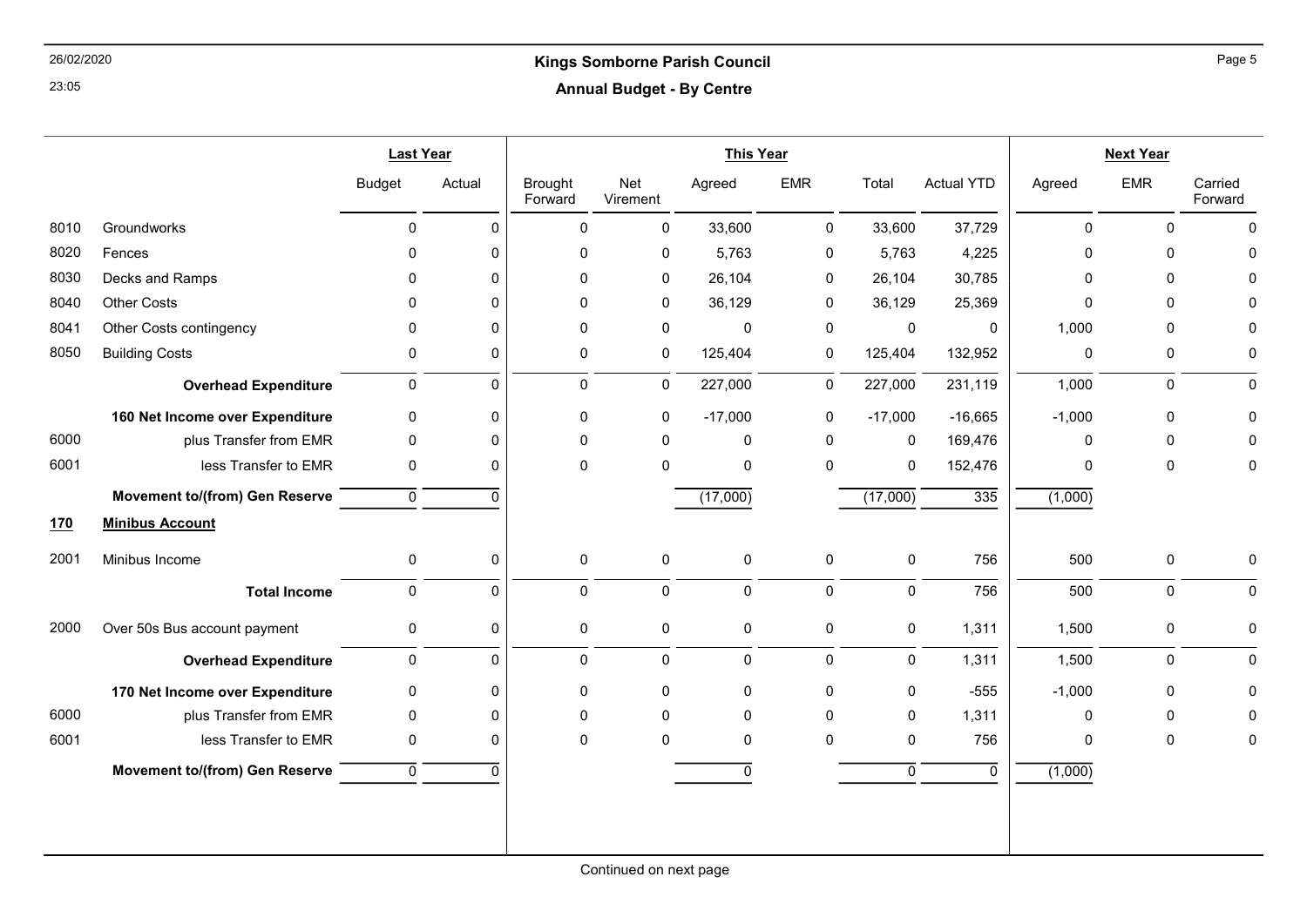### 26/02/2020 Kings Somborne Parish Council Annual Budget - By Centre

|            |                                       | <b>Last Year</b> |             | <b>This Year</b>          |                 |             |             |              | <b>Next Year</b>  |              |              |                    |
|------------|---------------------------------------|------------------|-------------|---------------------------|-----------------|-------------|-------------|--------------|-------------------|--------------|--------------|--------------------|
|            |                                       | <b>Budget</b>    | Actual      | <b>Brought</b><br>Forward | Net<br>Virement | Agreed      | <b>EMR</b>  | Total        | <b>Actual YTD</b> | Agreed       | <b>EMR</b>   | Carried<br>Forward |
| 8010       | Groundworks                           | $\mathbf 0$      | $\Omega$    | $\Omega$                  | 0               | 33,600      | $\mathbf 0$ | 33,600       | 37,729            | $\mathbf{0}$ | $\mathbf{0}$ | $\mathbf{0}$       |
| 8020       | Fences                                | $\Omega$         | 0           | 0                         | 0               | 5,763       | $\pmb{0}$   | 5,763        | 4,225             | $\mathbf 0$  | $\mathbf 0$  | $\Omega$           |
| 8030       | Decks and Ramps                       | 0                | $\Omega$    | 0                         | 0               | 26,104      | 0           | 26,104       | 30,785            | $\mathbf{0}$ | $\mathbf{0}$ | $\Omega$           |
| 8040       | <b>Other Costs</b>                    | 0                | $\Omega$    | 0                         | 0               | 36,129      | 0           | 36,129       | 25,369            | $\Omega$     | $\mathbf 0$  | $\Omega$           |
| 8041       | Other Costs contingency               | $\mathbf{0}$     | $\Omega$    | 0                         | $\mathbf 0$     | 0           | $\pmb{0}$   | $\mathbf 0$  | $\mathbf 0$       | 1,000        | $\mathbf{0}$ | $\Omega$           |
| 8050       | <b>Building Costs</b>                 | $\mathbf 0$      | $\Omega$    | 0                         | 0               | 125,404     | 0           | 125,404      | 132,952           | $\mathbf 0$  | 0            | 0                  |
|            | <b>Overhead Expenditure</b>           | $\mathsf 0$      | $\mathbf 0$ | $\boldsymbol{0}$          | 0               | 227,000     | 0           | 227,000      | 231,119           | 1,000        | $\mathbf 0$  | $\mathbf 0$        |
|            | 160 Net Income over Expenditure       | $\mathbf 0$      | 0           | 0                         | 0               | $-17,000$   | 0           | $-17,000$    | $-16,665$         | $-1,000$     | $\mathbf 0$  | 0                  |
| 6000       | plus Transfer from EMR                | $\mathbf 0$      | $\Omega$    | $\Omega$                  | $\mathbf 0$     | 0           | $\mathbf 0$ | $\mathbf 0$  | 169,476           | $\mathbf{0}$ | $\mathbf{0}$ | 0                  |
| 6001       | less Transfer to EMR                  | 0                | 0           | 0                         | 0               | 0           | $\pmb{0}$   | $\pmb{0}$    | 152,476           | 0            | 0            | 0                  |
|            | <b>Movement to/(from) Gen Reserve</b> | $\overline{0}$   | $\Omega$    |                           |                 | (17,000)    |             | (17,000)     | 335               | (1,000)      |              |                    |
| <u>170</u> | <b>Minibus Account</b>                |                  |             |                           |                 |             |             |              |                   |              |              |                    |
| 2001       | Minibus Income                        | 0                | 0           | $\mathbf 0$               | $\pmb{0}$       | 0           | $\pmb{0}$   | $\pmb{0}$    | 756               | 500          | $\mathbf 0$  | $\mathbf 0$        |
|            | <b>Total Income</b>                   | $\mathbf 0$      | $\Omega$    | $\Omega$                  | 0               | $\mathbf 0$ | $\mathbf 0$ | $\mathbf 0$  | 756               | 500          | $\mathbf 0$  | $\mathbf 0$        |
| 2000       | Over 50s Bus account payment          | 0                | 0           | 0                         | 0               | 0           | 0           | 0            | 1,311             | 1,500        | 0            | 0                  |
|            | <b>Overhead Expenditure</b>           | $\mathbf 0$      | $\mathbf 0$ | 0                         | 0               | 0           | $\pmb{0}$   | 0            | 1,311             | 1,500        | 0            | $\pmb{0}$          |
|            | 170 Net Income over Expenditure       | $\mathbf 0$      | $\Omega$    | 0                         | 0               | 0           | 0           | $\pmb{0}$    | $-555$            | $-1,000$     | $\mathbf 0$  | 0                  |
| 6000       | plus Transfer from EMR                | 0                | $\Omega$    | 0                         | 0               | 0           | $\mathbf 0$ | $\mathbf 0$  | 1,311             | $\mathbf 0$  | $\mathbf 0$  | $\Omega$           |
| 6001       | less Transfer to EMR                  | 0                | $\Omega$    | $\Omega$                  | $\Omega$        | 0           | $\Omega$    | 0            | 756               | $\mathbf{0}$ | $\mathbf{0}$ | 0                  |
|            | <b>Movement to/(from) Gen Reserve</b> | $\mathbf 0$      | $\Omega$    |                           |                 | 0           |             | $\mathbf{0}$ | $\Omega$          | (1,000)      |              |                    |
|            |                                       |                  |             |                           |                 |             |             |              |                   |              |              |                    |